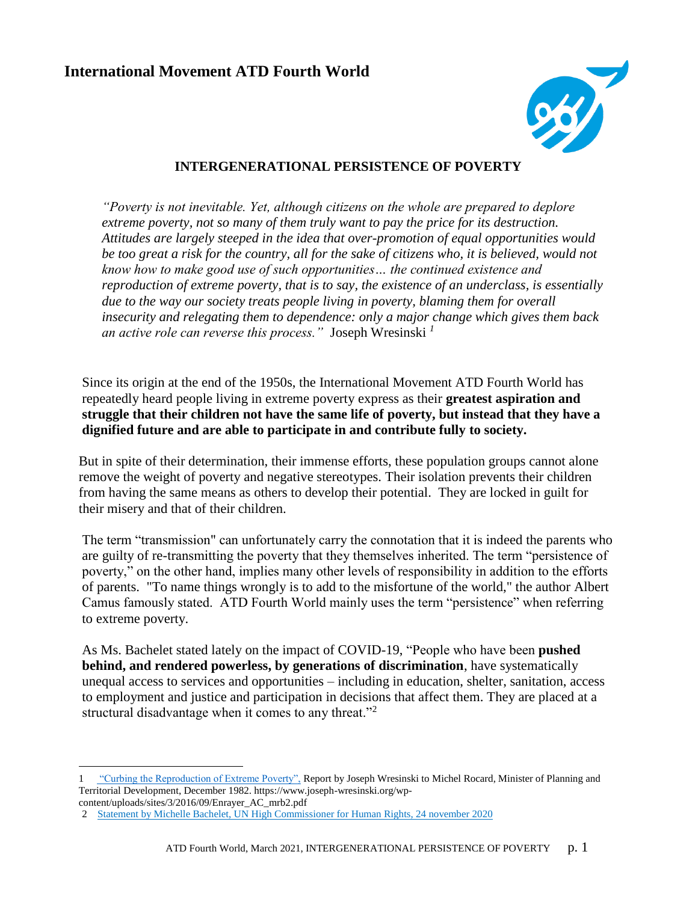

### **INTERGENERATIONAL PERSISTENCE OF POVERTY**

*"Poverty is not inevitable. Yet, although citizens on the whole are prepared to deplore extreme poverty, not so many of them truly want to pay the price for its destruction. Attitudes are largely steeped in the idea that over-promotion of equal opportunities would*  be too great a risk for the country, all for the sake of citizens who, it is believed, would not *know how to make good use of such opportunities… the continued existence and reproduction of extreme poverty, that is to say, the existence of an underclass, is essentially due to the way our society treats people living in poverty, blaming them for overall insecurity and relegating them to dependence: only a major change which gives them back an active role can reverse this process."* Joseph Wresinski *<sup>1</sup>*

Since its origin at the end of the 1950s, the International Movement ATD Fourth World has repeatedly heard people living in extreme poverty express as their **greatest aspiration and struggle that their children not have the same life of poverty, but instead that they have a dignified future and are able to participate in and contribute fully to society.**

But in spite of their determination, their immense efforts, these population groups cannot alone remove the weight of poverty and negative stereotypes. Their isolation prevents their children from having the same means as others to develop their potential. They are locked in guilt for their misery and that of their children.

The term "transmission" can unfortunately carry the connotation that it is indeed the parents who are guilty of re-transmitting the poverty that they themselves inherited. The term "persistence of poverty," on the other hand, implies many other levels of responsibility in addition to the efforts of parents. "To name things wrongly is to add to the misfortune of the world," the author Albert Camus famously stated. ATD Fourth World mainly uses the term "persistence" when referring to extreme poverty.

As Ms. Bachelet stated lately on the impact of COVID-19, "People who have been **pushed behind, and rendered powerless, by generations of discrimination**, have systematically unequal access to services and opportunities – including in education, shelter, sanitation, access to employment and justice and participation in decisions that affect them. They are placed at a structural disadvantage when it comes to any threat."<sup>2</sup>

[<sup>1 &</sup>quot;Curbing the Reproduction of Extreme Poverty",](https://www.joseph-wresinski.org/wp-content/uploads/sites/3/2016/09/Enrayer_AC_mrb2.pdf) Report by Joseph Wresinski to Michel Rocard, Minister of Planning and Territorial Development, December 1982. https://www.joseph-wresinski.org/wp-

content/uploads/sites/3/2016/09/Enrayer\_AC\_mrb2.pdf

<sup>2</sup> [Statement by Michelle Bachelet, UN High Commissioner for Human Rights, 24 november 2020](https://www.ohchr.org/EN/NewsEvents/Pages/DisplayNews.aspx?NewsID=26541&LangID=E)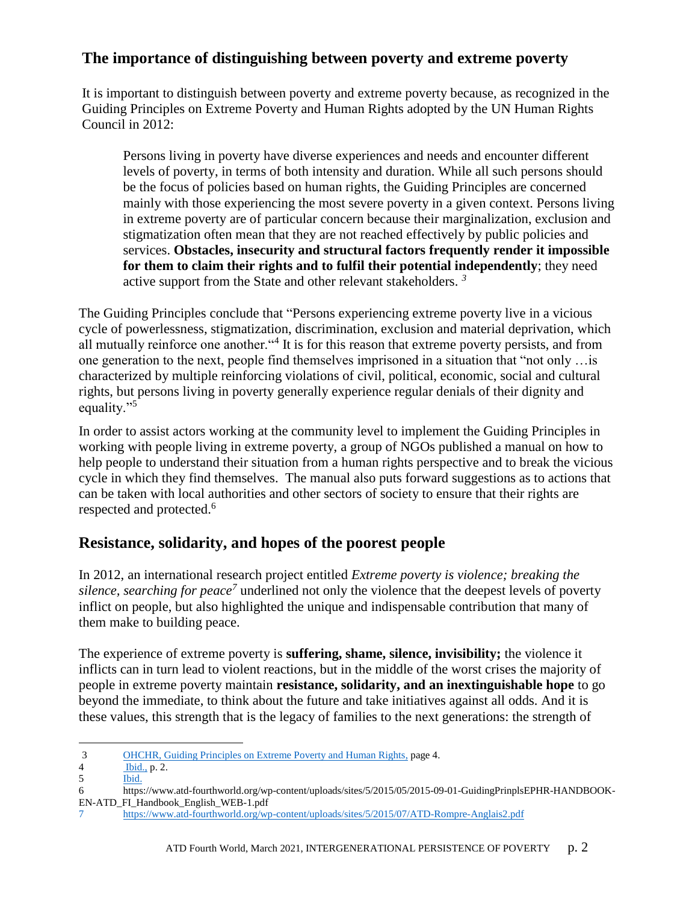# **The importance of distinguishing between poverty and extreme poverty**

It is important to distinguish between poverty and extreme poverty because, as recognized in the Guiding Principles on Extreme Poverty and Human Rights adopted by the UN Human Rights Council in 2012:

Persons living in poverty have diverse experiences and needs and encounter different levels of poverty, in terms of both intensity and duration. While all such persons should be the focus of policies based on human rights, the Guiding Principles are concerned mainly with those experiencing the most severe poverty in a given context. Persons living in extreme poverty are of particular concern because their marginalization, exclusion and stigmatization often mean that they are not reached effectively by public policies and services. **Obstacles, insecurity and structural factors frequently render it impossible for them to claim their rights and to fulfil their potential independently**; they need active support from the State and other relevant stakeholders. *<sup>3</sup>*

The Guiding Principles conclude that "Persons experiencing extreme poverty live in a vicious cycle of powerlessness, stigmatization, discrimination, exclusion and material deprivation, which all mutually reinforce one another."<sup>4</sup> It is for this reason that extreme poverty persists, and from one generation to the next, people find themselves imprisoned in a situation that "not only …is characterized by multiple reinforcing violations of civil, political, economic, social and cultural rights, but persons living in poverty generally experience regular denials of their dignity and equality."<sup>5</sup>

In order to assist actors working at the community level to implement the Guiding Principles in working with people living in extreme poverty, a group of NGOs published a manual on how to help people to understand their situation from a human rights perspective and to break the vicious cycle in which they find themselves. The manual also puts forward suggestions as to actions that can be taken with local authorities and other sectors of society to ensure that their rights are respected and protected.<sup>6</sup>

# **Resistance, solidarity, and hopes of the poorest people**

In 2012, an international research project entitled *Extreme poverty is violence; breaking the silence, searching for peace<sup>7</sup>* underlined not only the violence that the deepest levels of poverty inflict on people, but also highlighted the unique and indispensable contribution that many of them make to building peace.

The experience of extreme poverty is **suffering, shame, silence, invisibility;** the violence it inflicts can in turn lead to violent reactions, but in the middle of the worst crises the majority of people in extreme poverty maintain **resistance, solidarity, and an inextinguishable hope** to go beyond the immediate, to think about the future and take initiatives against all odds. And it is these values, this strength that is the legacy of families to the next generations: the strength of

<sup>3</sup> [OHCHR, Guiding Principles on Extreme Poverty and Human Rights,](https://www.ohchr.org/Documents/Publications/OHCHR_ExtremePovertyandHumanRights_EN.pdf) page 4.

<sup>4</sup> [Ibid.,](https://www.ohchr.org/Documents/Publications/OHCHR_ExtremePovertyandHumanRights_EN.pdf) p. 2.

<sup>5</sup> [Ibid.](https://www.ohchr.org/Documents/Publications/OHCHR_ExtremePovertyandHumanRights_EN.pdf)

<sup>6</sup> https://www.atd-fourthworld.org/wp-content/uploads/sites/5/2015/05/2015-09-01-GuidingPrinplsEPHR-HANDBOOK-EN-ATD\_FI\_Handbook\_English\_WEB-1.pdf

<sup>7</sup> <https://www.atd-fourthworld.org/wp-content/uploads/sites/5/2015/07/ATD-Rompre-Anglais2.pdf>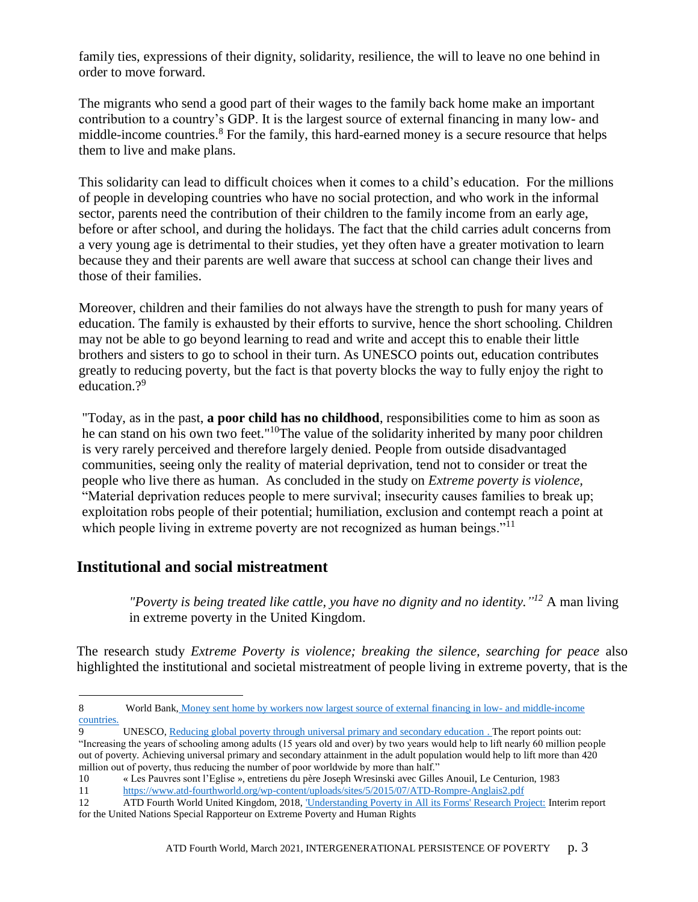family ties, expressions of their dignity, solidarity, resilience, the will to leave no one behind in order to move forward.

The migrants who send a good part of their wages to the family back home make an important contribution to a country's GDP. It is the largest source of external financing in many low- and middle-income countries.<sup>8</sup> For the family, this hard-earned money is a secure resource that helps them to live and make plans.

This solidarity can lead to difficult choices when it comes to a child's education. For the millions of people in developing countries who have no social protection, and who work in the informal sector, parents need the contribution of their children to the family income from an early age, before or after school, and during the holidays. The fact that the child carries adult concerns from a very young age is detrimental to their studies, yet they often have a greater motivation to learn because they and their parents are well aware that success at school can change their lives and those of their families.

Moreover, children and their families do not always have the strength to push for many years of education. The family is exhausted by their efforts to survive, hence the short schooling. Children may not be able to go beyond learning to read and write and accept this to enable their little brothers and sisters to go to school in their turn. As UNESCO points out, education contributes greatly to reducing poverty, but the fact is that poverty blocks the way to fully enjoy the right to education.<sup>?9</sup>

"Today, as in the past, **a poor child has no childhood**, responsibilities come to him as soon as he can stand on his own two feet."<sup>10</sup>The value of the solidarity inherited by many poor children is very rarely perceived and therefore largely denied. People from outside disadvantaged communities, seeing only the reality of material deprivation, tend not to consider or treat the people who live there as human. As concluded in the study on *Extreme poverty is violence,*  "Material deprivation reduces people to mere survival; insecurity causes families to break up; exploitation robs people of their potential; humiliation, exclusion and contempt reach a point at which people living in extreme poverty are not recognized as human beings."<sup>11</sup>

### **Institutional and social mistreatment**

 $\overline{a}$ 

*"Poverty is being treated like cattle, you have no dignity and no identity." <sup>12</sup>* A man living in extreme poverty in the United Kingdom.

The research study *Extreme Poverty is violence; breaking the silence, searching for peace* also highlighted the institutional and societal mistreatment of people living in extreme poverty, that is the

<sup>8</sup> World Bank, Money sent [home by workers now largest source of external financing in low-](https://blogs.worldbank.org/opendata/money-sent-home-workers-now-largest-source-external-financing-low-and-middle-income) and middle-income [countries.](https://blogs.worldbank.org/opendata/money-sent-home-workers-now-largest-source-external-financing-low-and-middle-income)

<sup>9</sup> UNESCO[, Reducing global poverty through universal primary and secondary education .](http://uis.unesco.org/sites/default/files/documents/reducing-global-poverty-through-universal-primary-secondary-education.pdf) The report points out: "Increasing the years of schooling among adults (15 years old and over) by two years would help to lift nearly 60 million people out of poverty. Achieving universal primary and secondary attainment in the adult population would help to lift more than 420 million out of poverty, thus reducing the number of poor worldwide by more than half."

<sup>10</sup> « Les Pauvres sont l'Eglise », entretiens du père Joseph Wresinski avec Gilles Anouil, Le Centurion, 1983

<sup>11</sup> https://www.atd-fourthworld.org/wp-content/uploads/sites/5/2015/07/ATD-Rompre-Anglais2.pdf

<sup>12</sup> ATD Fourth World United Kingdom, 2018, ['Understanding Poverty in All its Forms' Research Project:](https://www.ohchr.org/Documents/Issues/EPoverty/UnitedKingdom/2018/NGOS/ATD_Annex1.pdf) Interim report for the United Nations Special Rapporteur on Extreme Poverty and Human Rights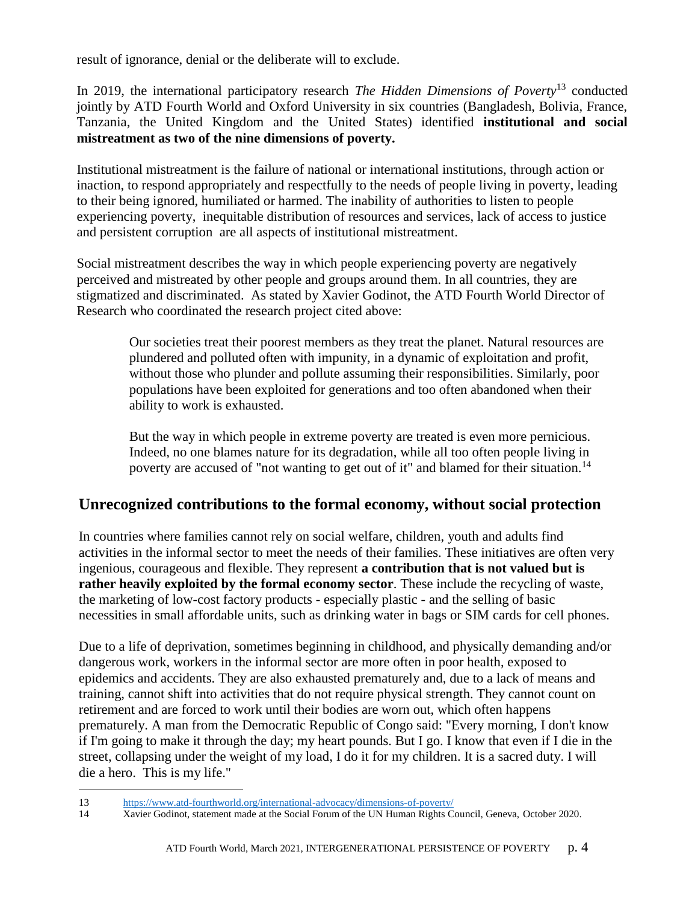result of ignorance, denial or the deliberate will to exclude.

In 2019, the international participatory research *The Hidden Dimensions of Poverty*<sup>13</sup> conducted jointly by ATD Fourth World and Oxford University in six countries (Bangladesh, Bolivia, France, Tanzania, the United Kingdom and the United States) identified **institutional and social mistreatment as two of the nine dimensions of poverty.** 

Institutional mistreatment is the failure of national or international institutions, through action or inaction, to respond appropriately and respectfully to the needs of people living in poverty, leading to their being ignored, humiliated or harmed. The inability of authorities to listen to people experiencing poverty, inequitable distribution of resources and services, lack of access to justice and persistent corruption are all aspects of institutional mistreatment.

Social mistreatment describes the way in which people experiencing poverty are negatively perceived and mistreated by other people and groups around them. In all countries, they are stigmatized and discriminated. As stated by Xavier Godinot, the ATD Fourth World Director of Research who coordinated the research project cited above:

Our societies treat their poorest members as they treat the planet. Natural resources are plundered and polluted often with impunity, in a dynamic of exploitation and profit, without those who plunder and pollute assuming their responsibilities. Similarly, poor populations have been exploited for generations and too often abandoned when their ability to work is exhausted.

But the way in which people in extreme poverty are treated is even more pernicious. Indeed, no one blames nature for its degradation, while all too often people living in poverty are accused of "not wanting to get out of it" and blamed for their situation.<sup>14</sup>

# **Unrecognized contributions to the formal economy, without social protection**

In countries where families cannot rely on social welfare, children, youth and adults find activities in the informal sector to meet the needs of their families. These initiatives are often very ingenious, courageous and flexible. They represent **a contribution that is not valued but is rather heavily exploited by the formal economy sector**. These include the recycling of waste, the marketing of low-cost factory products - especially plastic - and the selling of basic necessities in small affordable units, such as drinking water in bags or SIM cards for cell phones.

Due to a life of deprivation, sometimes beginning in childhood, and physically demanding and/or dangerous work, workers in the informal sector are more often in poor health, exposed to epidemics and accidents. They are also exhausted prematurely and, due to a lack of means and training, cannot shift into activities that do not require physical strength. They cannot count on retirement and are forced to work until their bodies are worn out, which often happens prematurely. A man from the Democratic Republic of Congo said: "Every morning, I don't know if I'm going to make it through the day; my heart pounds. But I go. I know that even if I die in the street, collapsing under the weight of my load, I do it for my children. It is a sacred duty. I will die a hero. This is my life."

 $\overline{a}$ 13 <https://www.atd-fourthworld.org/international-advocacy/dimensions-of-poverty/>

<sup>14</sup> Xavier Godinot, statement made at the Social Forum of the UN Human Rights Council, Geneva, October 2020.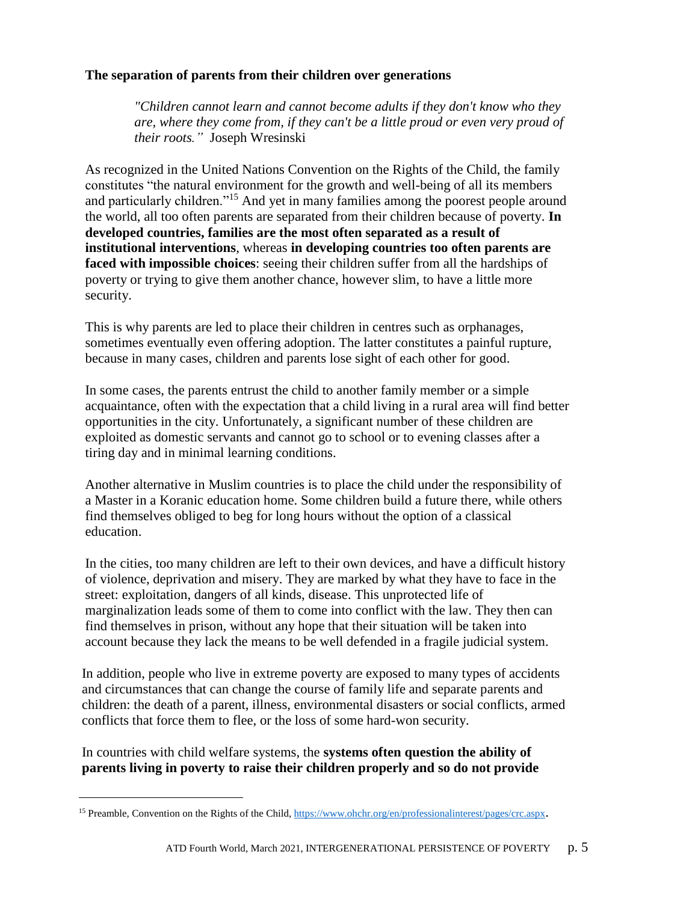### **The separation of parents from their children over generations**

*"Children cannot learn and cannot become adults if they don't know who they are, where they come from, if they can't be a little proud or even very proud of their roots."* Joseph Wresinski

As recognized in the United Nations Convention on the Rights of the Child, the family constitutes "the natural environment for the growth and well-being of all its members and particularly children."<sup>15</sup> And yet in many families among the poorest people around the world, all too often parents are separated from their children because of poverty. **In developed countries, families are the most often separated as a result of institutional interventions**, whereas **in developing countries too often parents are faced with impossible choices**: seeing their children suffer from all the hardships of poverty or trying to give them another chance, however slim, to have a little more security.

This is why parents are led to place their children in centres such as orphanages, sometimes eventually even offering adoption. The latter constitutes a painful rupture, because in many cases, children and parents lose sight of each other for good.

In some cases, the parents entrust the child to another family member or a simple acquaintance, often with the expectation that a child living in a rural area will find better opportunities in the city. Unfortunately, a significant number of these children are exploited as domestic servants and cannot go to school or to evening classes after a tiring day and in minimal learning conditions.

Another alternative in Muslim countries is to place the child under the responsibility of a Master in a Koranic education home. Some children build a future there, while others find themselves obliged to beg for long hours without the option of a classical education.

In the cities, too many children are left to their own devices, and have a difficult history of violence, deprivation and misery. They are marked by what they have to face in the street: exploitation, dangers of all kinds, disease. This unprotected life of marginalization leads some of them to come into conflict with the law. They then can find themselves in prison, without any hope that their situation will be taken into account because they lack the means to be well defended in a fragile judicial system.

In addition, people who live in extreme poverty are exposed to many types of accidents and circumstances that can change the course of family life and separate parents and children: the death of a parent, illness, environmental disasters or social conflicts, armed conflicts that force them to flee, or the loss of some hard-won security.

In countries with child welfare systems, the **systems often question the ability of parents living in poverty to raise their children properly and so do not provide** 

<sup>&</sup>lt;sup>15</sup> Preamble, Convention on the Rights of the Child,<https://www.ohchr.org/en/professionalinterest/pages/crc.aspx>.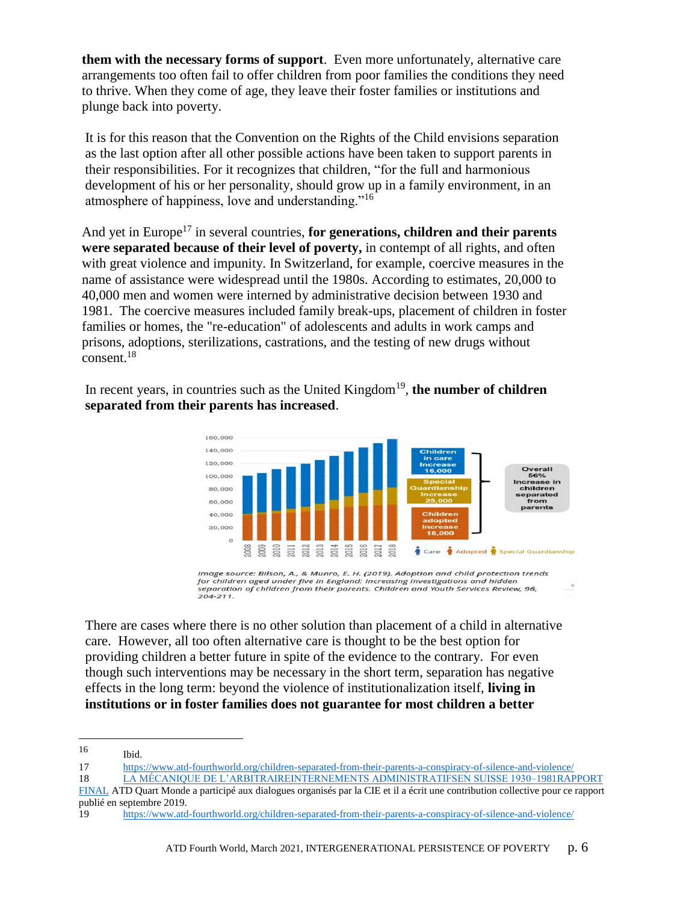**them with the necessary forms of support**. Even more unfortunately, alternative care arrangements too often fail to offer children from poor families the conditions they need to thrive. When they come of age, they leave their foster families or institutions and plunge back into poverty.

It is for this reason that the Convention on the Rights of the Child envisions separation as the last option after all other possible actions have been taken to support parents in their responsibilities. For it recognizes that children, "for the full and harmonious development of his or her personality, should grow up in a family environment, in an atmosphere of happiness, love and understanding."<sup>16</sup>

And yet in Europe<sup>17</sup> in several countries, **for generations, children and their parents were separated because of their level of poverty,** in contempt of all rights, and often with great violence and impunity. In Switzerland, for example, coercive measures in the name of assistance were widespread until the 1980s. According to estimates, 20,000 to 40,000 men and women were interned by administrative decision between 1930 and 1981. The coercive measures included family break-ups, placement of children in foster families or homes, the "re-education" of adolescents and adults in work camps and prisons, adoptions, sterilizations, castrations, and the testing of new drugs without consent.<sup>18</sup>

In recent years, in countries such as the United Kingdom<sup>19</sup>, the number of children **separated from their parents has increased**.



Image source: Bilson, A., & Munro, E. H. (2019). Adoption and child protection trends<br>for children aged under five in England: Increasing investigations and hidden .<br>separation of children from their parents. Children and Youth Services Review, 96,  $204 - 211$ 

There are cases where there is no other solution than placement of a child in alternative care. However, all too often alternative care is thought to be the best option for providing children a better future in spite of the evidence to the contrary. For even though such interventions may be necessary in the short term, separation has negative effects in the long term: beyond the violence of institutionalization itself, **living in institutions or in foster families does not guarantee for most children a better** 

<sup>16</sup> Ibid.

<sup>17</sup> <https://www.atd-fourthworld.org/children-separated-from-their-parents-a-conspiracy-of-silence-and-violence/>

[<sup>18</sup>](https://www.uek-administrative-versorgungen.ch/resources/E-Book_978-3-0340-1527-1_UEK_10B.pdf#_blank) LA MÉCANIQUE DE L'ARBITRAIREINTERNEMENTS ADMINISTRATIFSEN SUISSE 1930–1981RAPPORT

FINAL ATD Quart Monde a participé aux dialogues organisés par la CIE et il a écrit une contribution collective pour ce rapport publié en septembre 2019.

<sup>19</sup> <https://www.atd-fourthworld.org/children-separated-from-their-parents-a-conspiracy-of-silence-and-violence/>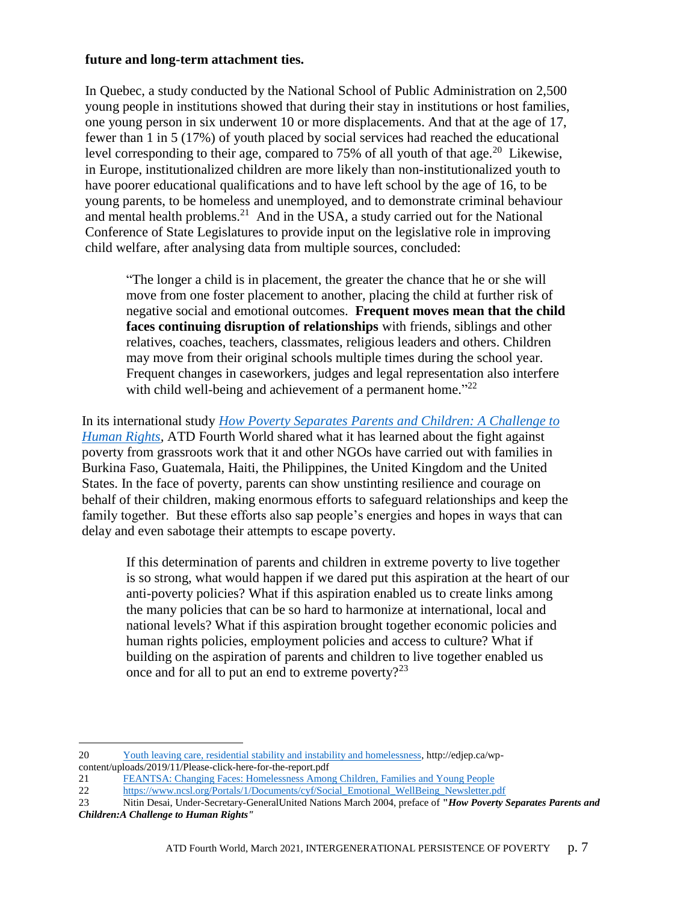#### **future and long-term attachment ties.**

In Quebec, a study conducted by the National School of Public Administration on 2,500 young people in institutions showed that during their stay in institutions or host families, one young person in six underwent 10 or more displacements. And that at the age of 17, fewer than 1 in 5 (17%) of youth placed by social services had reached the educational level corresponding to their age, compared to  $75\%$  of all youth of that age.<sup>20</sup> Likewise, in Europe, institutionalized children are more likely than non-institutionalized youth to have poorer educational qualifications and to have left school by the age of 16, to be young parents, to be homeless and unemployed, and to demonstrate criminal behaviour and mental health problems.<sup>21</sup> And in the USA, a study carried out for the National Conference of State Legislatures to provide input on the legislative role in improving child welfare, after analysing data from multiple sources, concluded:

"The longer a child is in placement, the greater the chance that he or she will move from one foster placement to another, placing the child at further risk of negative social and emotional outcomes. **Frequent moves mean that the child faces continuing disruption of relationships** with friends, siblings and other relatives, coaches, teachers, classmates, religious leaders and others. Children may move from their original schools multiple times during the school year. Frequent changes in caseworkers, judges and legal representation also interfere with child well-being and achievement of a permanent home."<sup>22</sup>

In its international study *[How Poverty Separates Parents and Children: A Challenge to](https://www.revue-quartmonde.org/9973?file=1)  [Human Rights,](https://www.revue-quartmonde.org/9973?file=1)* ATD Fourth World shared what it has learned about the fight against poverty from grassroots work that it and other NGOs have carried out with families in Burkina Faso, Guatemala, Haiti, the Philippines, the United Kingdom and the United States. In the face of poverty, parents can show unstinting resilience and courage on behalf of their children, making enormous efforts to safeguard relationships and keep the family together. But these efforts also sap people's energies and hopes in ways that can delay and even sabotage their attempts to escape poverty.

If this determination of parents and children in extreme poverty to live together is so strong, what would happen if we dared put this aspiration at the heart of our anti-poverty policies? What if this aspiration enabled us to create links among the many policies that can be so hard to harmonize at international, local and national levels? What if this aspiration brought together economic policies and human rights policies, employment policies and access to culture? What if building on the aspiration of parents and children to live together enabled us once and for all to put an end to extreme poverty?<sup>23</sup>

<sup>20</sup> [Youth leaving care, residential stability and instability and homelessness,](http://edjep.ca/wp-content/uploads/2019/11/Please-click-here-for-the-report.pdf) http://edjep.ca/wpcontent/uploads/2019/11/Please-click-here-for-the-report.pdf

<sup>21</sup> [FEANTSA: Changing Faces: Homelessness Among Children, Families and Young People](https://www.feantsa.org/download/homeless_in_europe_autumn2010_en_final-pdf400948969711266824.pdf) 

<sup>22</sup> https://www.ncsl.org/Portals/1/Documents/cyf/Social Emotional WellBeing Newsletter.pdf

<sup>23</sup> Nitin Desai, Under-Secretary-GeneralUnited Nations March 2004, preface of **"***How Poverty Separates Parents and Children:A Challenge to Human Rights"*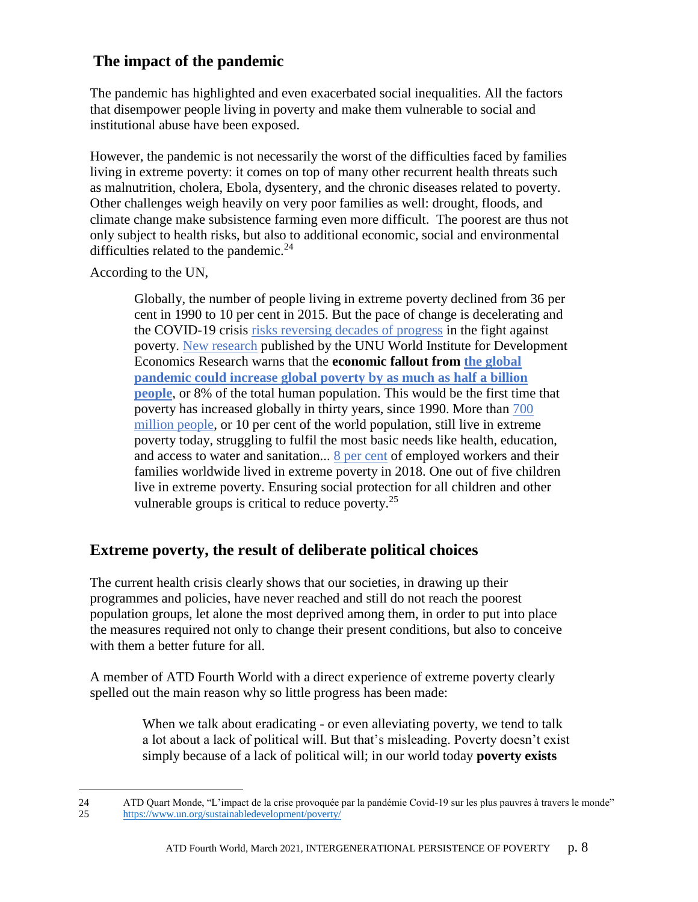# **The impact of the pandemic**

The pandemic has highlighted and even exacerbated social inequalities. All the factors that disempower people living in poverty and make them vulnerable to social and institutional abuse have been exposed.

However, the pandemic is not necessarily the worst of the difficulties faced by families living in extreme poverty: it comes on top of many other recurrent health threats such as malnutrition, cholera, Ebola, dysentery, and the chronic diseases related to poverty. Other challenges weigh heavily on very poor families as well: drought, floods, and climate change make subsistence farming even more difficult. The poorest are thus not only subject to health risks, but also to additional economic, social and environmental difficulties related to the pandemic.<sup>24</sup>

According to the UN,

 $\overline{a}$ 

Globally, the number of people living in extreme poverty declined from 36 per cent in 1990 to 10 per cent in 2015. But the pace of change is decelerating and the COVID-19 crisis [risks reversing decades of progress](https://www.un.org/sites/un2.un.org/files/sg_report_socio-economic_impact_of_covid19.pdf) in the fight against poverty. [New research](https://www.wider.unu.edu/node/237051) published by the UNU World Institute for Development Economics Research warns that the **economic fallout from [the global](https://www.wider.unu.edu/publication/estimates-impact-covid-19-global-poverty)  [pandemic could increase global poverty by as much as](https://www.wider.unu.edu/publication/estimates-impact-covid-19-global-poverty) half a billion [people](https://www.wider.unu.edu/publication/estimates-impact-covid-19-global-poverty)**, or 8% of the total human population. This would be the first time that poverty has increased globally in thirty years, since 1990. More than [700](http://www.worldbank.org/en/news/press-release/2018/09/19/decline-of-global-extreme-poverty-continues-but-has-slowed-world-bank)  [million people,](http://www.worldbank.org/en/news/press-release/2018/09/19/decline-of-global-extreme-poverty-continues-but-has-slowed-world-bank) or 10 per cent of the world population, still live in extreme poverty today, struggling to fulfil the most basic needs like health, education, and access to water and sanitation... [8 per cent](https://unstats.un.org/sdgs/report/2019/goal-01/) of employed workers and their families worldwide lived in extreme poverty in 2018. One out of five children live in extreme poverty. Ensuring social protection for all children and other vulnerable groups is critical to reduce poverty.<sup>25</sup>

# **Extreme poverty, the result of deliberate political choices**

The current health crisis clearly shows that our societies, in drawing up their programmes and policies, have never reached and still do not reach the poorest population groups, let alone the most deprived among them, in order to put into place the measures required not only to change their present conditions, but also to conceive with them a better future for all.

A member of ATD Fourth World with a direct experience of extreme poverty clearly spelled out the main reason why so little progress has been made:

> When we talk about eradicating - or even alleviating poverty, we tend to talk a lot about a lack of political will. But that's misleading. Poverty doesn't exist simply because of a lack of political will; in our world today **poverty exists**

<sup>24</sup> ATD Quart Monde, "L'impact de la crise provoquée par la pandémie Covid-19 sur les plus pauvres à travers le monde" 25 <https://www.un.org/sustainabledevelopment/poverty/>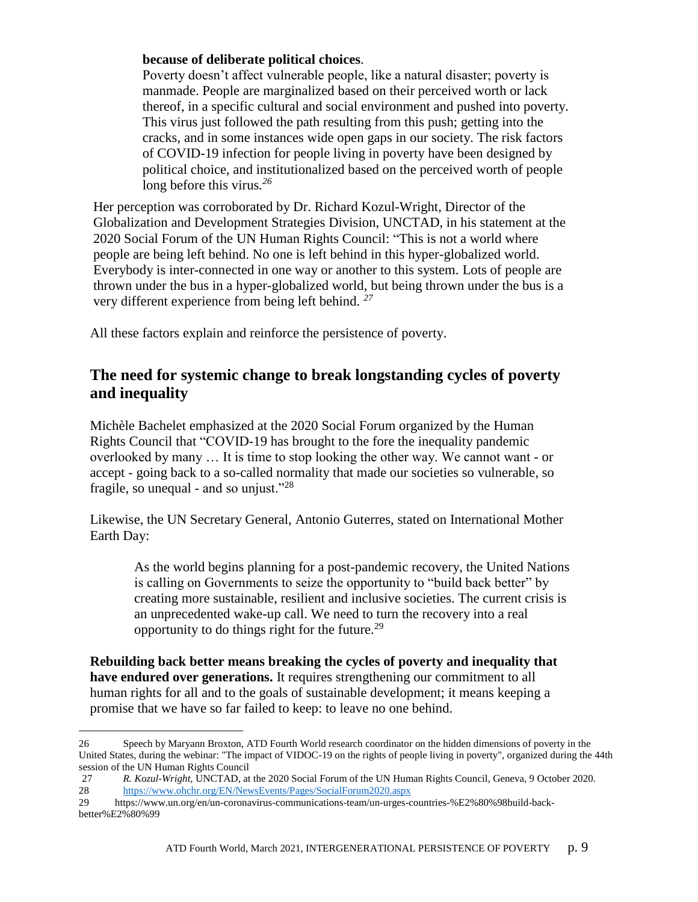### **because of deliberate political choices**.

Poverty doesn't affect vulnerable people, like a natural disaster; poverty is manmade. People are marginalized based on their perceived worth or lack thereof, in a specific cultural and social environment and pushed into poverty. This virus just followed the path resulting from this push; getting into the cracks, and in some instances wide open gaps in our society. The risk factors of COVID-19 infection for people living in poverty have been designed by political choice, and institutionalized based on the perceived worth of people long before this virus*. 26*

Her perception was corroborated by Dr. Richard Kozul-Wright*,* Director of the Globalization and Development Strategies Division, UNCTAD, in his statement at the 2020 Social Forum of the UN Human Rights Council: "This is not a world where people are being left behind. No one is left behind in this hyper-globalized world. Everybody is inter-connected in one way or another to this system. Lots of people are thrown under the bus in a hyper-globalized world, but being thrown under the bus is a very different experience from being left behind. *<sup>27</sup>*

All these factors explain and reinforce the persistence of poverty.

### **The need for systemic change to break longstanding cycles of poverty and inequality**

Michèle Bachelet emphasized at the 2020 Social Forum organized by the Human Rights Council that "COVID-19 has brought to the fore the inequality pandemic overlooked by many … It is time to stop looking the other way. We cannot want - or accept - going back to a so-called normality that made our societies so vulnerable, so fragile, so unequal - and so unjust."<sup>28</sup>

Likewise, the UN Secretary General, Antonio Guterres, stated on International Mother Earth Day:

As the world begins planning for a post-pandemic recovery, the United Nations is calling on Governments to seize the opportunity to "build back better" by creating more sustainable, resilient and inclusive societies. The current crisis is an unprecedented wake-up call. We need to turn the recovery into a real opportunity to do things right for the future. $^{29}$ 

**Rebuilding back better means breaking the cycles of poverty and inequality that have endured over generations.** It requires strengthening our commitment to all human rights for all and to the goals of sustainable development; it means keeping a promise that we have so far failed to keep: to leave no one behind.

<sup>26</sup> Speech by Maryann Broxton, ATD Fourth World research coordinator on the hidden dimensions of poverty in the United States, during the webinar: "The impact of VIDOC-19 on the rights of people living in poverty", organized during the 44th session of the UN Human Rights Council

<sup>27</sup> *R. Kozul-Wright,* UNCTAD, at the 2020 Social Forum of the UN Human Rights Council, Geneva, 9 October 2020. 28 <https://www.ohchr.org/EN/NewsEvents/Pages/SocialForum2020.aspx>

<sup>29</sup> https://www.un.org/en/un-coronavirus-communications-team/un-urges-countries-%E2%80%98build-backbetter%E2%80%99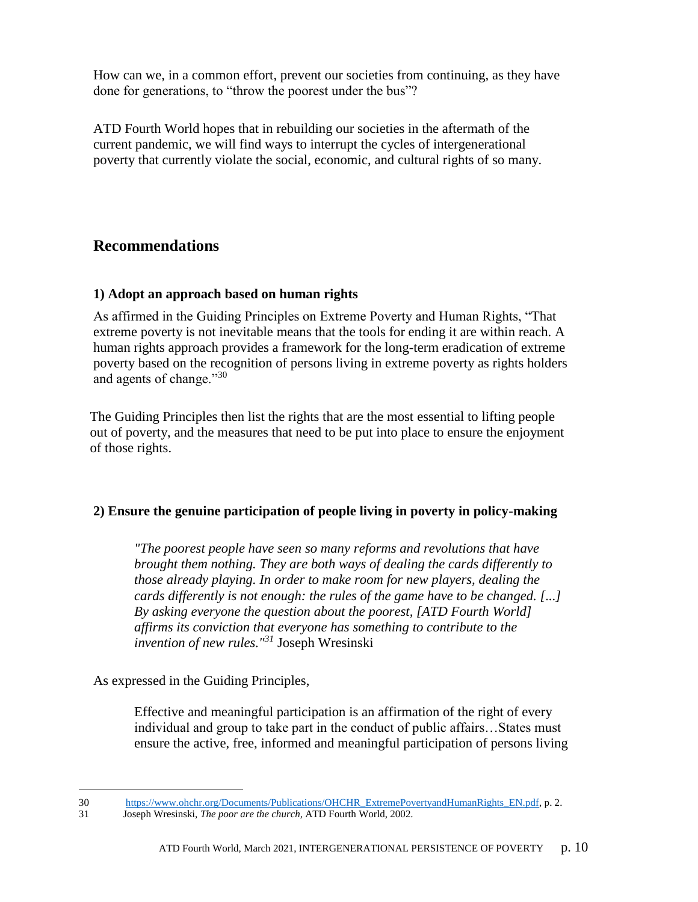How can we, in a common effort, prevent our societies from continuing, as they have done for generations, to "throw the poorest under the bus"?

ATD Fourth World hopes that in rebuilding our societies in the aftermath of the current pandemic, we will find ways to interrupt the cycles of intergenerational poverty that currently violate the social, economic, and cultural rights of so many.

# **Recommendations**

### **1) Adopt an approach based on human rights**

As affirmed in the Guiding Principles on Extreme Poverty and Human Rights, "That extreme poverty is not inevitable means that the tools for ending it are within reach. A human rights approach provides a framework for the long-term eradication of extreme poverty based on the recognition of persons living in extreme poverty as rights holders and agents of change."30

The Guiding Principles then list the rights that are the most essential to lifting people out of poverty, and the measures that need to be put into place to ensure the enjoyment of those rights.

### **2) Ensure the genuine participation of people living in poverty in policy-making**

*"The poorest people have seen so many reforms and revolutions that have brought them nothing. They are both ways of dealing the cards differently to those already playing. In order to make room for new players, dealing the cards differently is not enough: the rules of the game have to be changed. [...] By asking everyone the question about the poorest, [ATD Fourth World] affirms its conviction that everyone has something to contribute to the invention of new rules."<sup>31</sup>* Joseph Wresinski

As expressed in the Guiding Principles,

Effective and meaningful participation is an affirmation of the right of every individual and group to take part in the conduct of public affairs…States must ensure the active, free, informed and meaningful participation of persons living

 $\overline{a}$ 30 https://www.ohchr.org/Documents/Publications/OHCHR\_ExtremePovertyandHumanRights\_EN.pdf, p. 2.

<sup>31</sup> Joseph Wresinski, *The poor are the church,* ATD Fourth World, 2002.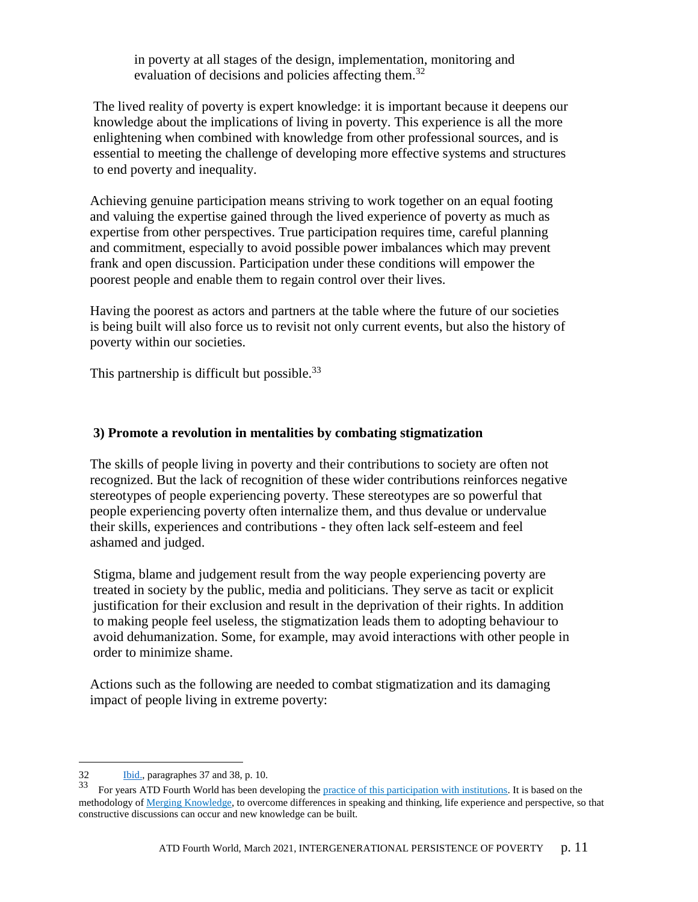in poverty at all stages of the design, implementation, monitoring and evaluation of decisions and policies affecting them.<sup>32</sup>

The lived reality of poverty is expert knowledge: it is important because it deepens our knowledge about the implications of living in poverty. This experience is all the more enlightening when combined with knowledge from other professional sources, and is essential to meeting the challenge of developing more effective systems and structures to end poverty and inequality.

Achieving genuine participation means striving to work together on an equal footing and valuing the expertise gained through the lived experience of poverty as much as expertise from other perspectives. True participation requires time, careful planning and commitment, especially to avoid possible power imbalances which may prevent frank and open discussion. Participation under these conditions will empower the poorest people and enable them to regain control over their lives.

Having the poorest as actors and partners at the table where the future of our societies is being built will also force us to revisit not only current events, but also the history of poverty within our societies.

This partnership is difficult but possible. $33$ 

### **3) Promote a revolution in mentalities by combating stigmatization**

The skills of people living in poverty and their contributions to society are often not recognized. But the lack of recognition of these wider contributions reinforces negative stereotypes of people experiencing poverty. These stereotypes are so powerful that people experiencing poverty often internalize them, and thus devalue or undervalue their skills, experiences and contributions - they often lack self-esteem and feel ashamed and judged.

Stigma, blame and judgement result from the way people experiencing poverty are treated in society by the public, media and politicians. They serve as tacit or explicit justification for their exclusion and result in the deprivation of their rights. In addition to making people feel useless, the stigmatization leads them to adopting behaviour to avoid dehumanization. Some, for example, may avoid interactions with other people in order to minimize shame.

Actions such as the following are needed to combat stigmatization and its damaging impact of people living in extreme poverty:

<sup>32</sup> [Ibid.,](https://www.ohchr.org/Documents/Publications/OHCHR_ExtremePovertyandHumanRights_EN.pdf) paragraphes 37 and 38, p. 10.

<sup>33</sup> For years ATD Fourth World has been developing the [practice of this participation with institutions.](https://www.atd-fourthworld.org/wp-content/uploads/old/pdf/Turning_Rhetoric_Into_Action_Participation_Toolkit_Oct08_low_res.pdf) It is based on the methodology o[f Merging Knowledge,](https://www.atd-fourthworld.org/what-we-do/participation/merging-knowledge/) to overcome differences in speaking and thinking, life experience and perspective, so that constructive discussions can occur and new knowledge can be built.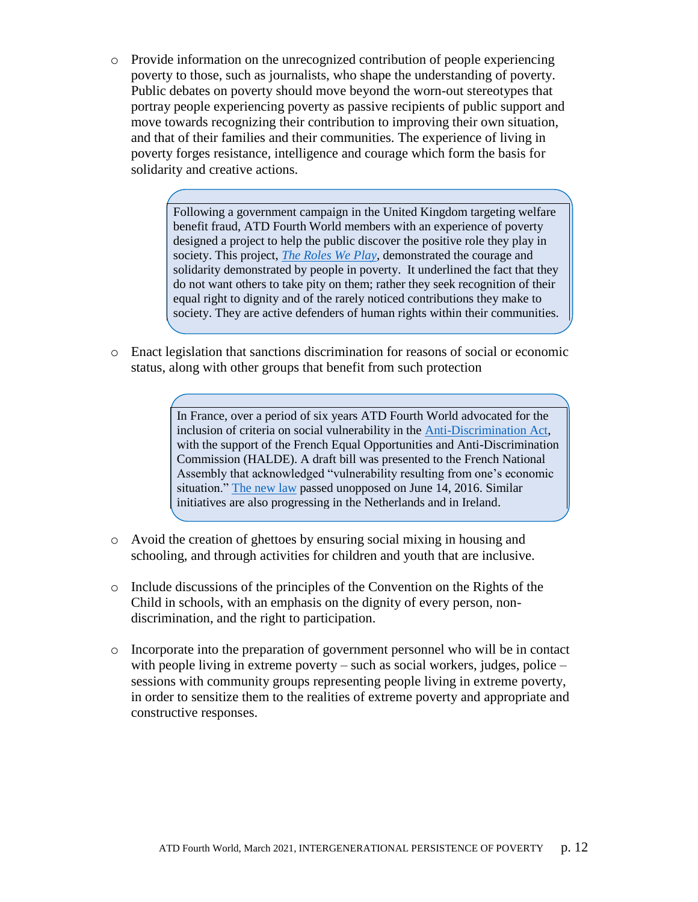o Provide information on the unrecognized contribution of people experiencing poverty to those, such as journalists, who shape the understanding of poverty. Public debates on poverty should move beyond the worn-out stereotypes that portray people experiencing poverty as passive recipients of public support and move towards recognizing their contribution to improving their own situation, and that of their families and their communities. The experience of living in poverty forges resistance, intelligence and courage which form the basis for solidarity and creative actions.

> Following a government campaign in the United Kingdom targeting welfare benefit fraud, ATD Fourth World members with an experience of poverty designed a project to help the public discover the positive role they play in society. This project, *[The Roles We Play](https://atd-uk.org/projects-campaigns/the-roles-we-play/)*, demonstrated the courage and solidarity demonstrated by people in poverty. It underlined the fact that they do not want others to take pity on them; rather they seek recognition of their equal right to dignity and of the rarely noticed contributions they make to society. They are active defenders of human rights within their communities.

o Enact legislation that sanctions discrimination for reasons of social or economic status, along with other groups that benefit from such protection

*[The roles we play, recognizing the contribution of people in poverty](https://www.atd-fourthworld.org/the-roles-we-play-2/)*

In France, over a period of six years ATD Fourth World advocated for the inclusion of criteria on social vulnerability in the [Anti-Discrimination Act,](https://www.atd-fourthworld.org/france-bans-discrimination-grounds-social-conditions/) with the support of the French Equal Opportunities and Anti-Discrimination Commission (HALDE). A draft bill was presented to the French National Assembly that acknowledged "vulnerability resulting from one's economic situation." [The new law](https://www.assemblee-nationale.fr/14/propositions/pion2885.asp) passed unopposed on June 14, 2016. Similar initiatives are also progressing in the Netherlands and in Ireland.

- o Avoid the creation of ghettoes by ensuring social mixing in housing and schooling, and through activities for children and youth that are inclusive.
- o Include discussions of the principles of the Convention on the Rights of the Child in schools, with an emphasis on the dignity of every person, nondiscrimination, and the right to participation.
- o Incorporate into the preparation of government personnel who will be in contact with people living in extreme poverty – such as social workers, judges, police – sessions with community groups representing people living in extreme poverty, in order to sensitize them to the realities of extreme poverty and appropriate and constructive responses.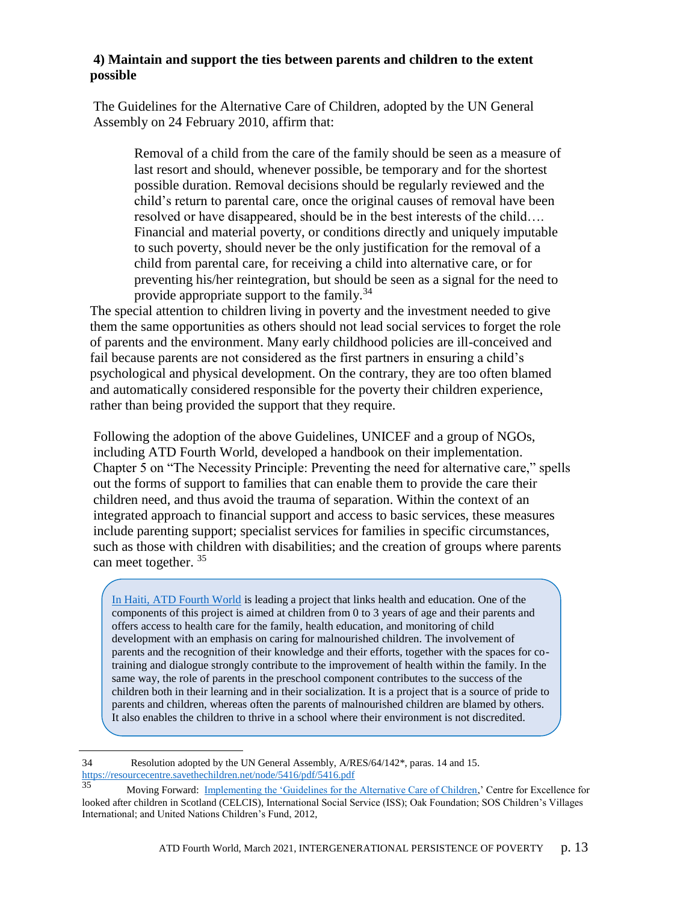### **4) Maintain and support the ties between parents and children to the extent possible**

The Guidelines for the Alternative Care of Children, adopted by the UN General Assembly on 24 February 2010, affirm that:

Removal of a child from the care of the family should be seen as a measure of last resort and should, whenever possible, be temporary and for the shortest possible duration. Removal decisions should be regularly reviewed and the child's return to parental care, once the original causes of removal have been resolved or have disappeared, should be in the best interests of the child…. Financial and material poverty, or conditions directly and uniquely imputable to such poverty, should never be the only justification for the removal of a child from parental care, for receiving a child into alternative care, or for preventing his/her reintegration, but should be seen as a signal for the need to provide appropriate support to the family.<sup>34</sup>

The special attention to children living in poverty and the investment needed to give them the same opportunities as others should not lead social services to forget the role of parents and the environment. Many early childhood policies are ill-conceived and fail because parents are not considered as the first partners in ensuring a child's psychological and physical development. On the contrary, they are too often blamed and automatically considered responsible for the poverty their children experience, rather than being provided the support that they require.

Following the adoption of the above Guidelines, UNICEF and a group of NGOs, including ATD Fourth World, developed a handbook on their implementation. Chapter 5 on "The Necessity Principle: Preventing the need for alternative care," spells out the forms of support to families that can enable them to provide the care their children need, and thus avoid the trauma of separation. Within the context of an integrated approach to financial support and access to basic services, these measures include parenting support; specialist services for families in specific circumstances, such as those with children with disabilities; and the creation of groups where parents can meet together.<sup>35</sup>

[In Haiti, ATD Fourth World](https://www.atd-quartmonde.org/sante-pour-tous-en-haiti/) is leading a project that links health and education. One of the components of this project is aimed at children from 0 to 3 years of age and their parents and offers access to health care for the family, health education, and monitoring of child development with an emphasis on caring for malnourished children. The involvement of parents and the recognition of their knowledge and their efforts, together with the spaces for cotraining and dialogue strongly contribute to the improvement of health within the family. In the same way, the role of parents in the preschool component contributes to the success of the children both in their learning and in their socialization. It is a project that is a source of pride to parents and children, whereas often the parents of malnourished children are blamed by others. It also enables the children to thrive in a school where their environment is not discredited.

 $\overline{a}$ 34 Resolution adopted by the UN General Assembly, A/RES/64/142\*, paras. 14 and 15. <https://resourcecentre.savethechildren.net/node/5416/pdf/5416.pdf><br>35 Meying Forward: Implementing the Cyclolines for the

Moving Forward: [Implementing the 'Guidelines for the Alternative Care of Children,](https://www.alternativecareguidelines.org/Portals/46/Moving-forward/Moving-Forward-implementing-the-guidelines-for-web1.pdf)' Centre for Excellence for looked after children in Scotland (CELCIS), International Social Service (ISS); Oak Foundation; SOS Children's Villages International; and United Nations Children's Fund, 2012,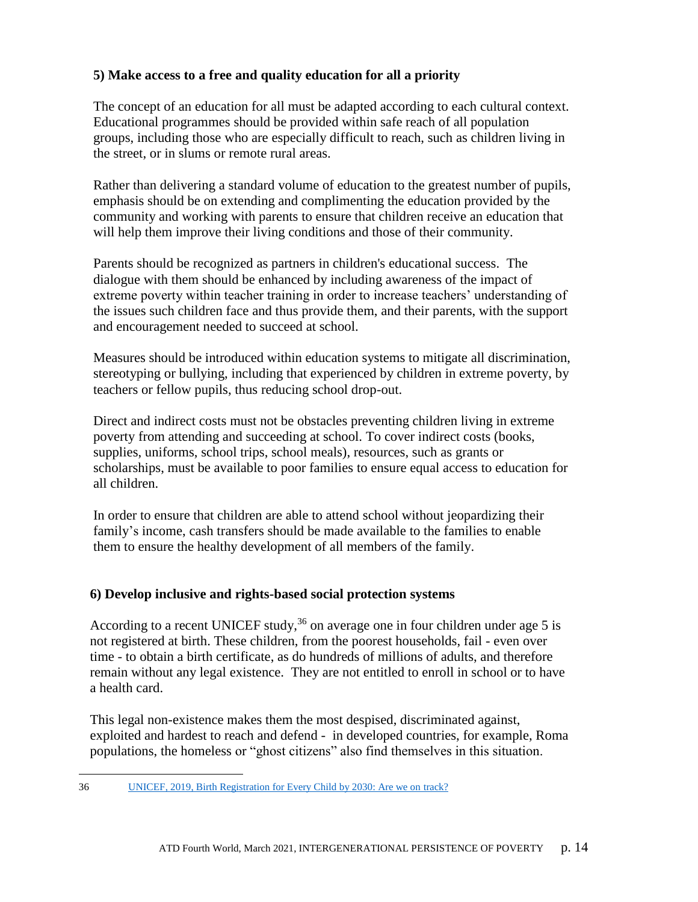### **5) Make access to a free and quality education for all a priority**

The concept of an education for all must be adapted according to each cultural context. Educational programmes should be provided within safe reach of all population groups, including those who are especially difficult to reach, such as children living in the street, or in slums or remote rural areas.

Rather than delivering a standard volume of education to the greatest number of pupils, emphasis should be on extending and complimenting the education provided by the community and working with parents to ensure that children receive an education that will help them improve their living conditions and those of their community.

Parents should be recognized as partners in children's educational success. The dialogue with them should be enhanced by including awareness of the impact of extreme poverty within teacher training in order to increase teachers' understanding of the issues such children face and thus provide them, and their parents, with the support and encouragement needed to succeed at school.

Measures should be introduced within education systems to mitigate all discrimination, stereotyping or bullying, including that experienced by children in extreme poverty, by teachers or fellow pupils, thus reducing school drop-out.

Direct and indirect costs must not be obstacles preventing children living in extreme poverty from attending and succeeding at school. To cover indirect costs (books, supplies, uniforms, school trips, school meals), resources, such as grants or scholarships, must be available to poor families to ensure equal access to education for all children.

In order to ensure that children are able to attend school without jeopardizing their family's income, cash transfers should be made available to the families to enable them to ensure the healthy development of all members of the family.

### **6) Develop inclusive and rights-based social protection systems**

According to a recent UNICEF study,  $36$  on average one in four children under age 5 is not registered at birth. These children, from the poorest households, fail - even over time - to obtain a birth certificate, as do hundreds of millions of adults, and therefore remain without any legal existence. They are not entitled to enroll in school or to have a health card.

This legal non-existence makes them the most despised, discriminated against, exploited and hardest to reach and defend - in developed countries, for example, Roma populations, the homeless or "ghost citizens" also find themselves in this situation.

 $\overline{a}$ [36](https://data.unicef.org/resources/birth-registration-for-every-child-by-2030/) UNICEF, 2019, Birth Registration for Every Child by 2030: Are we on track?